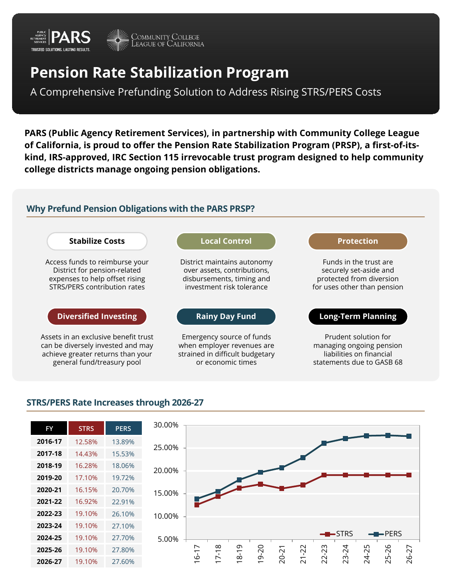

# **Pension Rate Stabilization Program**

A Comprehensive Prefunding Solution to Address Rising STRS/PERS Costs

**PARS (Public Agency Retirement Services), in partnership with Community College League of California, is proud to offer the Pension Rate Stabilization Program (PRSP), a first-of-itskind, IRS-approved, IRC Section 115 irrevocable trust program designed to help community college districts manage ongoing pension obligations.** 

# **Why Prefund Pension Obligations with the PARS PRSP?**



## **STRS/PERS Rate Increases through 2026-27**

| <b>FY</b> | <b>STRS</b> | PERS   |
|-----------|-------------|--------|
| 2016-17   | 12.58%      | 13.89% |
| 2017-18   | 14.43%      | 15.53% |
| 2018-19   | 16.28%      | 18.06% |
| 2019-20   | 17.10%      | 19.72% |
| 2020-21   | 16.15%      | 20.70% |
| 2021-22   | 16.92%      | 22.91% |
| 2022-23   | 19.10%      | 26.10% |
| 2023-24   | 19.10%      | 27.10% |
| 2024-25   | 19.10%      | 27.70% |
| 2025-26   | 19.10%      | 27.80% |
| 2026-27   | 19.10%      | 27.60% |